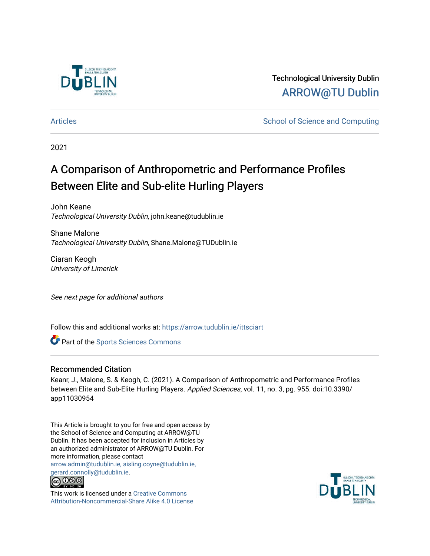

Technological University Dublin [ARROW@TU Dublin](https://arrow.tudublin.ie/) 

[Articles](https://arrow.tudublin.ie/ittsciart) **School of Science and Computing**  $\sim$  School of Science and Computing

2021

# A Comparison of Anthropometric and Performance Profiles Between Elite and Sub-elite Hurling Players

John Keane Technological University Dublin, john.keane@tudublin.ie

Shane Malone Technological University Dublin, Shane.Malone@TUDublin.ie

Ciaran Keogh University of Limerick

See next page for additional authors

Follow this and additional works at: [https://arrow.tudublin.ie/ittsciart](https://arrow.tudublin.ie/ittsciart?utm_source=arrow.tudublin.ie%2Fittsciart%2F128&utm_medium=PDF&utm_campaign=PDFCoverPages)

**Part of the Sports Sciences Commons** 

### Recommended Citation

Keanr, J., Malone, S. & Keogh, C. (2021). A Comparison of Anthropometric and Performance Profiles between Elite and Sub-Elite Hurling Players. Applied Sciences, vol. 11, no. 3, pg. 955. doi:10.3390/ app11030954

This Article is brought to you for free and open access by the School of Science and Computing at ARROW@TU Dublin. It has been accepted for inclusion in Articles by an authorized administrator of ARROW@TU Dublin. For more information, please contact [arrow.admin@tudublin.ie, aisling.coyne@tudublin.ie,](mailto:arrow.admin@tudublin.ie,%20aisling.coyne@tudublin.ie,%20gerard.connolly@tudublin.ie)  [gerard.connolly@tudublin.ie](mailto:arrow.admin@tudublin.ie,%20aisling.coyne@tudublin.ie,%20gerard.connolly@tudublin.ie).<br>@000



This work is licensed under a [Creative Commons](http://creativecommons.org/licenses/by-nc-sa/4.0/) [Attribution-Noncommercial-Share Alike 4.0 License](http://creativecommons.org/licenses/by-nc-sa/4.0/)

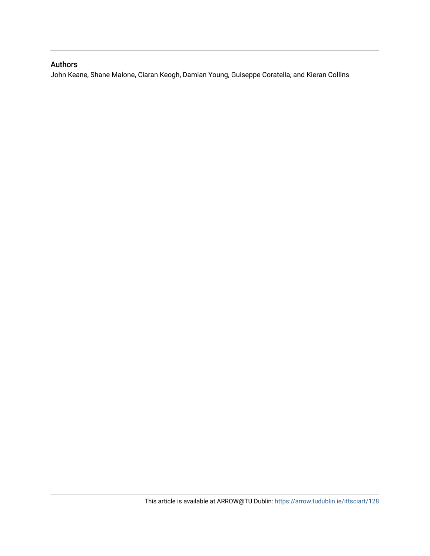## Authors

John Keane, Shane Malone, Ciaran Keogh, Damian Young, Guiseppe Coratella, and Kieran Collins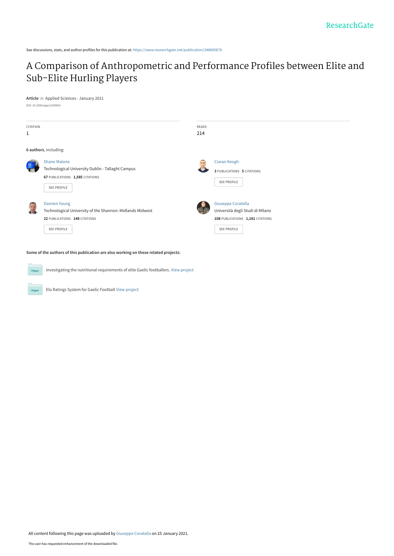See discussions, stats, and author profiles for this publication at: [https://www.researchgate.net/publication/348685878](https://www.researchgate.net/publication/348685878_A_Comparison_of_Anthropometric_and_Performance_Profiles_between_Elite_and_Sub-Elite_Hurling_Players?enrichId=rgreq-db6a928a96cf58b96de95a0c06ff8a5c-XXX&enrichSource=Y292ZXJQYWdlOzM0ODY4NTg3ODtBUzo5ODM3NjkzNDMzNDQ2NDRAMTYxMTU2MDI5NzY1NA%3D%3D&el=1_x_2&_esc=publicationCoverPdf)

# [A Comparison of Anthropometric and Performance Profiles between Elite and](https://www.researchgate.net/publication/348685878_A_Comparison_of_Anthropometric_and_Performance_Profiles_between_Elite_and_Sub-Elite_Hurling_Players?enrichId=rgreq-db6a928a96cf58b96de95a0c06ff8a5c-XXX&enrichSource=Y292ZXJQYWdlOzM0ODY4NTg3ODtBUzo5ODM3NjkzNDMzNDQ2NDRAMTYxMTU2MDI5NzY1NA%3D%3D&el=1_x_3&_esc=publicationCoverPdf) Sub-Elite Hurling Players

**Article** in Applied Sciences · January 2021 DOI: 10.3390/app11030954

| <b>CITATION</b><br>1                                                                |                                                                                                                                         | <b>READS</b><br>214 |                                                                                                                  |  |  |  |  |  |  |
|-------------------------------------------------------------------------------------|-----------------------------------------------------------------------------------------------------------------------------------------|---------------------|------------------------------------------------------------------------------------------------------------------|--|--|--|--|--|--|
| 6 authors, including:                                                               |                                                                                                                                         |                     |                                                                                                                  |  |  |  |  |  |  |
|                                                                                     | <b>Shane Malone</b><br>Technological University Dublin - Tallaght Campus<br>67 PUBLICATIONS 1,585 CITATIONS<br><b>SEE PROFILE</b>       | $\boxed{a}$         | Ciaran Keogh<br><b>3 PUBLICATIONS 5 CITATIONS</b><br><b>SEE PROFILE</b>                                          |  |  |  |  |  |  |
|                                                                                     | <b>Damien Young</b><br>Technological University of the Shannon: Midlands Midwest<br>22 PUBLICATIONS 148 CITATIONS<br><b>SEE PROFILE</b> |                     | Giuseppe Coratella<br>Università degli Studi di MIlano<br>108 PUBLICATIONS 1,181 CITATIONS<br><b>SEE PROFILE</b> |  |  |  |  |  |  |
| Some of the authors of this publication are also working on these related projects: |                                                                                                                                         |                     |                                                                                                                  |  |  |  |  |  |  |

**Project** Investigating the nutritional requirements of elite Gaelic footballers. [View project](https://www.researchgate.net/project/Investigating-the-nutritional-requirements-of-elite-Gaelic-footballers?enrichId=rgreq-db6a928a96cf58b96de95a0c06ff8a5c-XXX&enrichSource=Y292ZXJQYWdlOzM0ODY4NTg3ODtBUzo5ODM3NjkzNDMzNDQ2NDRAMTYxMTU2MDI5NzY1NA%3D%3D&el=1_x_9&_esc=publicationCoverPdf)

Elo Ratings System for Gaelic Football [View project](https://www.researchgate.net/project/Elo-Ratings-System-for-Gaelic-Football?enrichId=rgreq-db6a928a96cf58b96de95a0c06ff8a5c-XXX&enrichSource=Y292ZXJQYWdlOzM0ODY4NTg3ODtBUzo5ODM3NjkzNDMzNDQ2NDRAMTYxMTU2MDI5NzY1NA%3D%3D&el=1_x_9&_esc=publicationCoverPdf)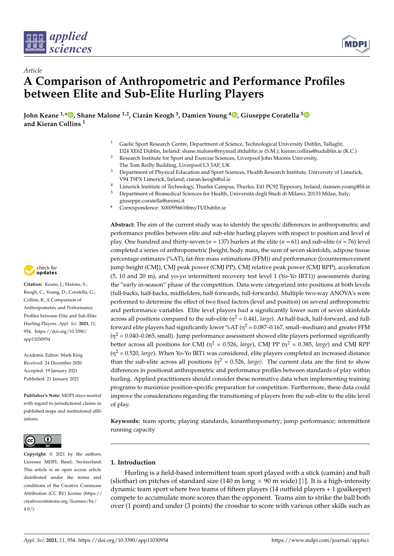



# *Article* **A Comparison of Anthropometric and Performance Profiles between Elite and Sub-Elite Hurling Players**

**John Keane 1,[\\*](https://orcid.org/0000-0002-3783-6448) , Shane Malone 1,2, Ciarán Keogh <sup>3</sup> , Damien Young <sup>4</sup> [,](https://orcid.org/0000-0002-7725-8267) Giuseppe Coratella [5](https://orcid.org/0000-0001-7523-9102) and Kieran Collins <sup>1</sup>**

> <sup>1</sup> Gaelic Sport Research Centre, Department of Science, Technological University Dublin, Tallaght, D24 XE62 Dublin, Ireland; shane.malone@mymail.ittdublin.ie (S.M.); kieran.collins@tudublin.ie (K.C.)

<sup>2</sup> Research Institute for Sport and Exercise Sciences, Liverpool John Moores University,

- The Tom Reilly Building, Liverpool L3 3AF, UK
- <sup>3</sup> Department of Physical Education and Sport Sciences, Health Research Institute, University of Limerick, V94 T9PX Limerick, Ireland; ciaran.keogh@ul.ie
- <sup>4</sup> Limerick Institute of Technology, Thurles Campus, Thurles, E41 PC92 Tipperary, Ireland; damien.young@lit.ie
- <sup>5</sup> Department of Biomedical Sciences for Health, Università degli Studi di Milano, 20133 Milan, Italy;
- giuseppe.coratella@unimi.it **\*** Correspondence: X00095661@myTUDublin.ie

**Abstract:** The aim of the current study was to identify the specific differences in anthropometric and performance profiles between elite and sub-elite hurling players with respect to position and level of play. One hundred and thirty-seven ( $n = 137$ ) hurlers at the elite ( $n = 61$ ) and sub-elite ( $n = 76$ ) level completed a series of anthropometric [height, body mass, the sum of seven skinfolds, adipose tissue percentage estimates (%AT), fat-free mass estimations (FFM)) and performance ((countermovement jump height (CMJ), CMJ peak power (CMJ PP), CMJ relative peak power (CMJ RPP), acceleration (5, 10 and 20 m), and yo-yo intermittent recovery test level 1 (Yo-Yo IRT1)) assessments during the "early in-season" phase of the competition. Data were categorized into positions at both levels (full-backs, half-backs, midfielders, half-forwards, full-forwards). Multiple two-way ANOVA's were performed to determine the effect of two fixed factors (level and position) on several anthropometric and performance variables. Elite level players had a significantly lower sum of seven skinfolds across all positions compared to the sub-elite (η <sup>2</sup> = 0.441, *large*). At half-back, half-forward, and fullforward elite players had significantly lower %AT ( $\eta^2$  = 0.087–0.167, small–medium) and greater FFM  $(\eta^2 = 0.040 - 0.065$ , small). Jump performance assessment showed elite players performed significantly better across all positions for CMJ ( $\eta^2 = 0.526$ , *large*), CMJ PP ( $\eta^2 = 0.385$ , *large*) and CMJ RPP  $(\eta^2 = 0.520$ , *large*). When Yo-Yo IRT1 was considered, elite players completed an increased distance than the sub-elite across all positions ( $\eta^2 = 0.526$ , *large*). The current data are the first to show differences in positional anthropometric and performance profiles between standards of play within hurling. Applied practitioners should consider these normative data when implementing training programs to maximize position-specific preparation for competition. Furthermore, these data could improve the considerations regarding the transitioning of players from the sub-elite to the elite level of play.

**Keywords:** team sports; playing standards; kinanthropometry; jump performance; intermittent running capacity

### **1. Introduction**

Hurling is a field-based intermittent team sport played with a stick (camán) and ball (sliothar) on pitches of standard size (140 m long  $\times$  90 m wide) [\[1\]](#page-14-0). It is a high-intensity dynamic team sport where two teams of fifteen players (14 outfield players + 1 goalkeeper) compete to accumulate more scores than the opponent. Teams aim to strike the ball both over (1 point) and under (3 points) the crossbar to score with various other skills such as



**Citation:** Keane, J.; Malone, S.; Keogh, C.; Young, D.; Coratella, G.; Collins, K. A Comparison of Anthropometric and Performance Profiles between Elite and Sub-Elite Hurling Players. *Appl. Sci.* **2021**, *11*, 954. [https://doi.org/10.3390/](https://doi.org/10.3390/app11030954) [app11030954](https://doi.org/10.3390/app11030954)

Academic Editor: Mark King Received: 24 December 2020 Accepted: 19 January 2021 Published: 21 January 2021

**Publisher's Note:** MDPI stays neutral with regard to jurisdictional claims in published maps and institutional affiliations.



**Copyright:** © 2021 by the authors. Licensee MDPI, Basel, Switzerland. This article is an open access article distributed under the terms and conditions of the Creative Commons Attribution (CC BY) license (https:/[/](https://creativecommons.org/licenses/by/4.0/) [creativecommons.org/licenses/by/](https://creativecommons.org/licenses/by/4.0/)  $4.0/$ ).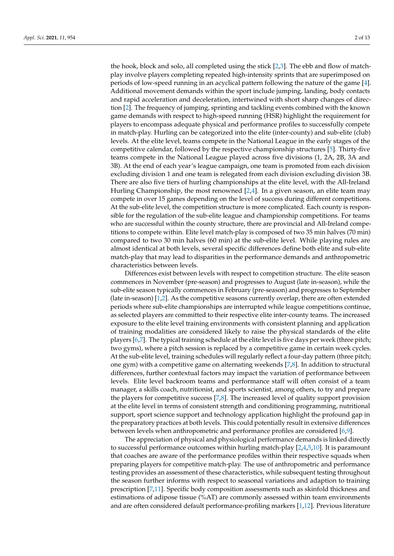the hook, block and solo, all completed using the stick [\[2](#page-14-1)[,3\]](#page-14-2). The ebb and flow of matchplay involve players completing repeated high-intensity sprints that are superimposed on periods of low-speed running in an acyclical pattern following the nature of the game [\[4\]](#page-14-3). Additional movement demands within the sport include jumping, landing, body contacts and rapid acceleration and deceleration, intertwined with short sharp changes of direction [\[2\]](#page-14-1). The frequency of jumping, sprinting and tackling events combined with the known game demands with respect to high-speed running (HSR) highlight the requirement for players to encompass adequate physical and performance profiles to successfully compete in match-play. Hurling can be categorized into the elite (inter-county) and sub-elite (club) levels. At the elite level, teams compete in the National League in the early stages of the competitive calendar, followed by the respective championship structures [\[5\]](#page-14-4). Thirty-five teams compete in the National League played across five divisions (1, 2A, 2B, 3A and 3B). At the end of each year's league campaign, one team is promoted from each division excluding division 1 and one team is relegated from each division excluding division 3B. There are also five tiers of hurling championships at the elite level, with the All-Ireland Hurling Championship, the most renowned  $[2,4]$  $[2,4]$ . In a given season, an elite team may compete in over 15 games depending on the level of success during different competitions. At the sub-elite level, the competition structure is more complicated. Each county is responsible for the regulation of the sub-elite league and championship competitions. For teams who are successful within the county structure, there are provincial and All-Ireland competitions to compete within. Elite level match-play is composed of two 35 min halves (70 min) compared to two 30 min halves (60 min) at the sub-elite level. While playing rules are almost identical at both levels, several specific differences define both elite and sub-elite match-play that may lead to disparities in the performance demands and anthropometric characteristics between levels.

Differences exist between levels with respect to competition structure. The elite season commences in November (pre-season) and progresses to August (late in-season), while the sub-elite season typically commences in February (pre-season) and progresses to September (late in-season) [\[1,](#page-14-0)[2\]](#page-14-1). As the competitive seasons currently overlap, there are often extended periods where sub-elite championships are interrupted while league competitions continue, as selected players are committed to their respective elite inter-county teams. The increased exposure to the elite level training environments with consistent planning and application of training modalities are considered likely to raise the physical standards of the elite players [\[6](#page-14-5)[,7\]](#page-14-6). The typical training schedule at the elite level is five days per week (three pitch; two gyms), where a pitch session is replaced by a competitive game in certain week cycles. At the sub-elite level, training schedules will regularly reflect a four-day pattern (three pitch; one gym) with a competitive game on alternating weekends [\[7](#page-14-6)[,8\]](#page-14-7). In addition to structural differences, further contextual factors may impact the variation of performance between levels. Elite level backroom teams and performance staff will often consist of a team manager, a skills coach, nutritionist, and sports scientist, among others, to try and prepare the players for competitive success [\[7](#page-14-6)[,8\]](#page-14-7). The increased level of quality support provision at the elite level in terms of consistent strength and conditioning programming, nutritional support, sport science support and technology application highlight the profound gap in the preparatory practices at both levels. This could potentially result in extensive differences between levels when anthropometric and performance profiles are considered [\[6](#page-14-5)[,9\]](#page-14-8).

The appreciation of physical and physiological performance demands is linked directly to successful performance outcomes within hurling match-play  $[2,4,5,10]$  $[2,4,5,10]$  $[2,4,5,10]$  $[2,4,5,10]$ . It is paramount that coaches are aware of the performance profiles within their respective squads when preparing players for competitive match-play. The use of anthropometric and performance testing provides an assessment of these characteristics, while subsequent testing throughout the season further informs with respect to seasonal variations and adaption to training prescription [\[7](#page-14-6)[,11\]](#page-14-10). Specific body composition assessments such as skinfold thickness and estimations of adipose tissue (%AT) are commonly assessed within team environments and are often considered default performance-profiling markers [\[1](#page-14-0)[,12\]](#page-14-11). Previous literature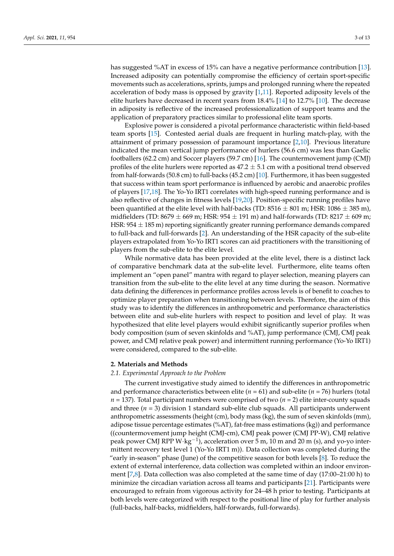has suggested %AT in excess of 15% can have a negative performance contribution [\[13\]](#page-14-12). Increased adiposity can potentially compromise the efficiency of certain sport-specific movements such as accelerations, sprints, jumps and prolonged running where the repeated acceleration of body mass is opposed by gravity [\[1](#page-14-0)[,11\]](#page-14-10). Reported adiposity levels of the elite hurlers have decreased in recent years from 18.4% [\[14\]](#page-14-13) to 12.7% [\[10\]](#page-14-9). The decrease in adiposity is reflective of the increased professionalization of support teams and the application of preparatory practices similar to professional elite team sports.

Explosive power is considered a pivotal performance characteristic within field-based team sports [\[15\]](#page-14-14). Contested aerial duals are frequent in hurling match-play, with the attainment of primary possession of paramount importance [\[2](#page-14-1)[,10\]](#page-14-9). Previous literature indicated the mean vertical jump performance of hurlers (56.6 cm) was less than Gaelic footballers (62.2 cm) and Soccer players (59.7 cm) [\[16\]](#page-14-15). The countermovement jump (CMJ) profiles of the elite hurlers were reported as  $47.2 \pm 5.1$  cm with a positional trend observed from half-forwards (50.8 cm) to full-backs (45.2 cm) [\[10\]](#page-14-9). Furthermore, it has been suggested that success within team sport performance is influenced by aerobic and anaerobic profiles of players [\[17](#page-14-16)[,18\]](#page-14-17). The Yo-Yo IRT1 correlates with high-speed running performance and is also reflective of changes in fitness levels [\[19](#page-14-18)[,20\]](#page-14-19). Position-specific running profiles have been quantified at the elite level with half-backs (TD:  $8516 \pm 801$  m; HSR:  $1086 \pm 385$  m), midfielders (TD: 8679  $\pm$  669 m; HSR: 954  $\pm$  191 m) and half-forwards (TD: 8217  $\pm$  609 m; HSR:  $954 \pm 185$  m) reporting significantly greater running performance demands compared to full-back and full-forwards [\[2\]](#page-14-1). An understanding of the HSR capacity of the sub-elite players extrapolated from Yo-Yo IRT1 scores can aid practitioners with the transitioning of players from the sub-elite to the elite level.

While normative data has been provided at the elite level, there is a distinct lack of comparative benchmark data at the sub-elite level. Furthermore, elite teams often implement an "open panel" mantra with regard to player selection, meaning players can transition from the sub-elite to the elite level at any time during the season. Normative data defining the differences in performance profiles across levels is of benefit to coaches to optimize player preparation when transitioning between levels. Therefore, the aim of this study was to identify the differences in anthropometric and performance characteristics between elite and sub-elite hurlers with respect to position and level of play. It was hypothesized that elite level players would exhibit significantly superior profiles when body composition (sum of seven skinfolds and %AT), jump performance (CMJ, CMJ peak power, and CMJ relative peak power) and intermittent running performance (Yo-Yo IRT1) were considered, compared to the sub-elite.

#### **2. Materials and Methods**

#### *2.1. Experimental Approach to the Problem*

The current investigative study aimed to identify the differences in anthropometric and performance characteristics between elite ( $n = 61$ ) and sub-elite ( $n = 76$ ) hurlers (total  $n = 137$ ). Total participant numbers were comprised of two  $(n = 2)$  elite inter-county squads and three  $(n = 3)$  division 1 standard sub-elite club squads. All participants underwent anthropometric assessments (height (cm), body mass (kg), the sum of seven skinfolds (mm), adipose tissue percentage estimates (%AT), fat-free mass estimations (kg)) and performance ((countermovement jump height (CMJ-cm), CMJ peak power (CMJ PP-W), CMJ relative peak power CMJ RPP W $\cdot$ kg<sup>-1</sup>), acceleration over 5 m, 10 m and 20 m (s), and yo-yo intermittent recovery test level 1 (Yo-Yo IRT1 m)). Data collection was completed during the "early in-season" phase (June) of the competitive season for both levels [\[8\]](#page-14-7). To reduce the extent of external interference, data collection was completed within an indoor environment [\[7,](#page-14-6)[8\]](#page-14-7). Data collection was also completed at the same time of day (17:00–21:00 h) to minimize the circadian variation across all teams and participants [\[21\]](#page-14-20). Participants were encouraged to refrain from vigorous activity for 24–48 h prior to testing. Participants at both levels were categorized with respect to the positional line of play for further analysis (full-backs, half-backs, midfielders, half-forwards, full-forwards).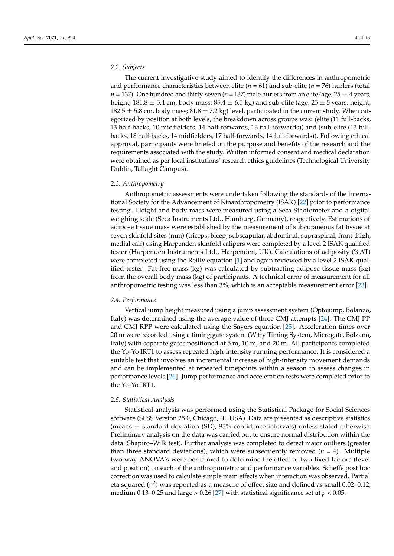### *2.2. Subjects*

The current investigative study aimed to identify the differences in anthropometric and performance characteristics between elite (*n* = 61) and sub-elite (*n* = 76) hurlers (total  $n = 137$ ). One hundred and thirty-seven ( $n = 137$ ) male hurlers from an elite (age;  $25 \pm 4$  years, height; 181.8  $\pm$  5.4 cm, body mass; 85.4  $\pm$  6.5 kg) and sub-elite (age; 25  $\pm$  5 years, height; 182.5  $\pm$  5.8 cm, body mass; 81.8  $\pm$  7.2 kg) level, participated in the current study. When categorized by position at both levels, the breakdown across groups was: (elite (11 full-backs, 13 half-backs, 10 midfielders, 14 half-forwards, 13 full-forwards)) and (sub-elite (13 fullbacks, 18 half-backs, 14 midfielders, 17 half-forwards, 14 full-forwards)). Following ethical approval, participants were briefed on the purpose and benefits of the research and the requirements associated with the study. Written informed consent and medical declaration were obtained as per local institutions' research ethics guidelines (Technological University Dublin, Tallaght Campus).

#### *2.3. Anthropometry*

Anthropometric assessments were undertaken following the standards of the International Society for the Advancement of Kinanthropometry (ISAK) [\[22\]](#page-14-21) prior to performance testing. Height and body mass were measured using a Seca Stadiometer and a digital weighing scale (Seca Instruments Ltd., Hamburg, Germany), respectively. Estimations of adipose tissue mass were established by the measurement of subcutaneous fat tissue at seven skinfold sites (mm) (triceps, bicep, subscapular, abdominal, supraspinal, front thigh, medial calf) using Harpenden skinfold calipers were completed by a level 2 ISAK qualified tester (Harpenden Instruments Ltd., Harpenden, UK). Calculations of adiposity (%AT) were completed using the Reilly equation [\[1\]](#page-14-0) and again reviewed by a level 2 ISAK qualified tester. Fat-free mass (kg) was calculated by subtracting adipose tissue mass (kg) from the overall body mass (kg) of participants. A technical error of measurement for all anthropometric testing was less than 3%, which is an acceptable measurement error [\[23\]](#page-14-22).

#### *2.4. Performance*

Vertical jump height measured using a jump assessment system (Optojump, Bolanzo, Italy) was determined using the average value of three CMJ attempts [\[24\]](#page-14-23). The CMJ PP and CMJ RPP were calculated using the Sayers equation [\[25\]](#page-14-24). Acceleration times over 20 m were recorded using a timing gate system (Witty Timing System, Microgate, Bolzano, Italy) with separate gates positioned at 5 m, 10 m, and 20 m. All participants completed the Yo-Yo IRT1 to assess repeated high-intensity running performance. It is considered a suitable test that involves an incremental increase of high-intensity movement demands and can be implemented at repeated timepoints within a season to assess changes in performance levels [\[26\]](#page-14-25). Jump performance and acceleration tests were completed prior to the Yo-Yo IRT1.

#### *2.5. Statistical Analysis*

Statistical analysis was performed using the Statistical Package for Social Sciences software (SPSS Version 25.0, Chicago, IL, USA). Data are presented as descriptive statistics (means  $\pm$  standard deviation (SD), 95% confidence intervals) unless stated otherwise. Preliminary analysis on the data was carried out to ensure normal distribution within the data (Shapiro–Wilk test). Further analysis was completed to detect major outliers (greater than three standard deviations), which were subsequently removed  $(n = 4)$ . Multiple two-way ANOVA's were performed to determine the effect of two fixed factors (level and position) on each of the anthropometric and performance variables. Scheffé post hoc correction was used to calculate simple main effects when interaction was observed. Partial eta squared (η<sup>2</sup>) was reported as a measure of effect size and defined as small 0.02–0.12, medium 0.13–0.25 and large  $> 0.26$  [\[27\]](#page-15-0) with statistical significance set at  $p < 0.05$ .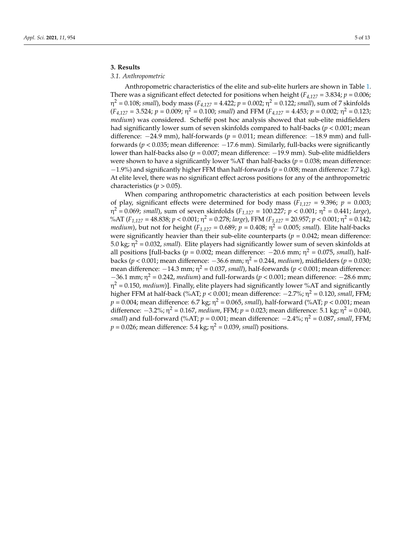### **3. Results**

#### *3.1. Anthropometric*

Anthropometric characteristics of the elite and sub-elite hurlers are shown in Table [1.](#page-8-0) There was a significant effect detected for positions when height  $(F_{4,127} = 3.834; p = 0.006;$ η <sup>2</sup> = 0.108; *small*), body mass (*F4,127* = 4.422; *p* = 0.002; η <sup>2</sup> = 0.122; *small*), sum of 7 skinfolds  $(F_{4,127} = 3.524; p = 0.009; \eta^2 = 0.100; small)$  and FFM  $(F_{4,127} = 4.453; p = 0.002; \eta^2 = 0.123;$ *medium*) was considered. Scheffé post hoc analysis showed that sub-elite midfielders had significantly lower sum of seven skinfolds compared to half-backs (*p* < 0.001; mean difference: −24.9 mm), half-forwards (*p* = 0.011; mean difference: −18.9 mm) and fullforwards ( $p < 0.035$ ; mean difference:  $-17.6$  mm). Similarly, full-backs were significantly lower than half-backs also (*p* = 0.007; mean difference: −19.9 mm). Sub-elite midfielders were shown to have a significantly lower %AT than half-backs ( $p = 0.038$ ; mean difference: −1.9%) and significantly higher FFM than half-forwards (*p* = 0.008; mean difference: 7.7 kg). At elite level, there was no significant effect across positions for any of the anthropometric characteristics ( $p > 0.05$ ).

When comparing anthropometric characteristics at each position between levels of play, significant effects were determined for body mass  $(F_{1,127} = 9.396; p = 0.003;$ η <sup>2</sup> = 0.069; *small*), sum of seven skinfolds (*F1,127* = 100.227; *p* < 0.001; η <sup>2</sup> = 0.441; *large*), %AT (*F1,127* = 48.838; *p* < 0.001; η <sup>2</sup> = 0.278; *large*), FFM *(F1,127* = 20.957; *p* < 0.001; η <sup>2</sup> = 0.142; *medium*), but not for height (*F1,127* = 0.689; *p* = 0.408; η <sup>2</sup> = 0.005; *small*). Elite half-backs were significantly heavier than their sub-elite counterparts ( $p = 0.042$ ; mean difference: 5.0 kg;  $\eta^2$  = 0.032, *small*). Elite players had significantly lower sum of seven skinfolds at all positions [full-backs ( $p = 0.002$ ; mean difference:  $-20.6$  mm;  $\eta^2 = 0.075$ , *small*), halfbacks (*p* < 0.001; mean difference: −36.6 mm; η <sup>2</sup> = 0.244, *medium*), midfielders (*p* = 0.030; mean difference: −14.3 mm; η <sup>2</sup> = 0.037, *small*), half-forwards (*p* < 0.001; mean difference: −36.1 mm; η <sup>2</sup> = 0.242, *medium*) and full-forwards (*p* < 0.001; mean difference: −28.6 mm; η <sup>2</sup> = 0.150, *medium*)]. Finally, elite players had significantly lower %AT and significantly higher FFM at half-back (%AT; *p* < 0.001; mean difference: −2.7%; η <sup>2</sup> = 0.120, *small*, FFM; *p* = 0.004; mean difference: 6.7 kg; η <sup>2</sup> = 0.065, *small*), half-forward (%AT; *p* < 0.001; mean difference:  $-3.2\%$ ;  $\eta^2 = 0.167$ , *medium*, FFM;  $p = 0.023$ ; mean difference: 5.1 kg;  $\eta^2 = 0.040$ , *small*) and full-forward (%AT; *p* = 0.001; mean difference: −2.4%; η <sup>2</sup> = 0.087, *small*, FFM;  $p = 0.026$ ; mean difference: 5.4 kg;  $\eta^2 = 0.039$ *, small*) positions.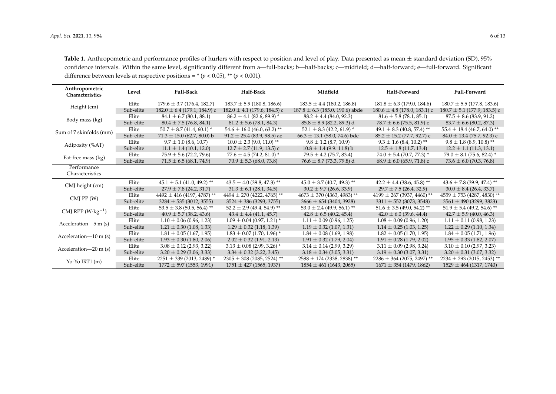<span id="page-8-0"></span>

| Anthropometric<br>Characteristics | Level     | <b>Full-Back</b>                          | Half-Back                                 | Midfield                                  | Half-Forward                              | <b>Full-Forward</b>                        |  |  |  |
|-----------------------------------|-----------|-------------------------------------------|-------------------------------------------|-------------------------------------------|-------------------------------------------|--------------------------------------------|--|--|--|
|                                   | Elite     | $179.6 \pm 3.7$ (176.4, 182.7)            | $183.7 \pm 5.9$ (180.8, 186.6)            | $183.5 \pm 4.4$ (180.2, 186.8)            | $181.8 \pm 6.3$ (179.0, 184.6)            | $180.7 \pm 5.5$ (177.8, 183.6)             |  |  |  |
| Height (cm)                       | Sub-elite | $182.0 \pm 6.4$ (179.1, 184.9) c          | $182.0 \pm 4.1$ (179.6, 184.5) c          | $187.8 \pm 6.3$ (185.0, 190.6) abde       | $180.6 \pm 4.8$ (178.0, 183.1) c          | $180.7 \pm 5.1$ (177.9, 183.5) c           |  |  |  |
|                                   | Elite     | $84.1 \pm 6.7$ (80.1, 88.1)               | $86.2 \pm 4.1$ (82.6, 89.9) *             | $88.2 \pm 4.4$ (84.0, 92.3)               | $81.6 \pm 5.8$ (78.1, 85.1)               | $87.5 \pm 8.6$ (83.9, 91.2)                |  |  |  |
| Body mass (kg)                    | Sub-elite | $80.4 \pm 7.5$ (76.8, 84.1)               | $81.2 \pm 5.6$ (78.1, 84.3)               | $85.8 \pm 8.9$ (82.2, 89.3) d             | $78.7 \pm 6.6$ (75.5, 81.9) c             | $83.7 \pm 6.6$ (80.2, 87.3)                |  |  |  |
| Sum of 7 skinfolds (mm)           | Elite     | $50.7 \pm 8.7$ (41.4, 60.1) *             | $54.6 \pm 16.0$ (46.0, 63.2) **           | $52.1 \pm 8.3$ (42.2, 61.9) *             | $49.1 \pm 8.3$ (40.8, 57.4) <sup>**</sup> | $55.4 \pm 18.4$ (46.7, 64.0) <sup>**</sup> |  |  |  |
|                                   | Sub-elite | $71.3 \pm 15.0$ (62.7, 80.0) b            | $91.2 \pm 25.4$ (83.9, 98.5) ac           | $66.3 \pm 13.1$ (58.0, 74.6) bde          | $85.2 \pm 15.2$ (77.7, 92.7) c            | $84.0 \pm 13.4$ (75.7, 92.3) c             |  |  |  |
|                                   | Elite     | $9.7 \pm 1.0$ (8.6, 10.7)                 | $10.0 \pm 2.3$ (9.0, 11.0) **             | $9.8 \pm 1.2$ (8.7, 10.9)                 | $9.3 \pm 1.6$ (8.4, 10.2) **              | $9.8 \pm 1.8$ (8.9, 10.8) **               |  |  |  |
| Adiposity (%AT)                   | Sub-elite | $11.1 \pm 1.4$ (10.1, 12.0)               | $12.7 \pm 2.7$ (11.9, 13.5) c             | $10.8 \pm 1.4$ (9.9. 11.8) b              | $12.5 \pm 1.8$ (11.7, 13.4)               | $12.2 \pm 1.1$ (11.3, 13.1)                |  |  |  |
| Fat-free mass (kg)                | Elite     | $75.9 \pm 5.6$ (72.2, 79.6)               | $77.6 \pm 4.5$ (74.2, 81.0) *             | $79.5 \pm 4.2$ (75.7, 83.4)               | $74.0 \pm 5.4$ (70.7, 77.3) *             | $79.0 \pm 8.1$ (75.6, 82.4) <sup>*</sup>   |  |  |  |
|                                   | Sub-elite | $71.5 \pm 6.5$ (68.1, 74.9)               | $70.9 \pm 5.3$ (68.0, 73.8)               | $76.6 \pm 8.7$ (73.3, 79.8) d             | $68.9 \pm 6.0$ (65.9, 71.8) c             | $73.6 \pm 6.0$ (70.3, 76.8)                |  |  |  |
| Performance<br>Characteristics    |           |                                           |                                           |                                           |                                           |                                            |  |  |  |
|                                   | Elite     | $45.1 \pm 5.1$ (41.0, 49.2) <sup>**</sup> | $43.5 \pm 4.0$ (39.8, 47.3) <sup>**</sup> | $45.0 \pm 3.7$ (40.7, 49.3) <sup>**</sup> | $42.2 \pm 4.4$ (38.6, 45.8) <sup>**</sup> | $43.6 \pm 7.8$ (39.9, 47.4) **             |  |  |  |
| CMJ height (cm)                   | Sub-elite | $27.9 \pm 7.8$ (24.2, 31.7)               | $31.3 \pm 6.1$ (28.1, 34.5)               | $30.2 \pm 9.7$ (26.6, 33.9)               | $29.7 \pm 7.5$ (26.4, 32.9)               | $30.0 \pm 8.4$ (26.4, 33.7)                |  |  |  |
|                                   | Elite     | $4492 \pm 416$ (4197, 4787) <sup>**</sup> | $4494 \pm 270$ (4222, 4765) <sup>**</sup> | $4673 \pm 370$ (4363, 4983) <sup>**</sup> | $4199 \pm 267$ (3937, 4460) <sup>**</sup> | $4559 \pm 753$ (4287, 4830) <sup>**</sup>  |  |  |  |
| $CMJ$ PP $(W)$                    | Sub-elite | $3284 \pm 535$ (3012, 3555)               | $3524 \pm 386$ (3293, 3755)               | $3666 \pm 654$ (3404, 3928)               | $3311 \pm 552$ (3073, 3548)               | $3561 \pm 490$ (3299, 3823)                |  |  |  |
|                                   | Elite     | $53.5 \pm 3.8$ (50.5, 56.4) <sup>**</sup> | $52.2 \pm 2.9$ (49.4, 54.9) <sup>**</sup> | $53.0 \pm 2.4$ (49.9, 56.1) **            | $51.6 \pm 3.5$ (49.0, 54.2) <sup>**</sup> | $51.9 \pm 5.4$ (49.2, 54.6) **             |  |  |  |
| CMJ RPP $(W \cdot kg^{-1})$       | Sub-elite | $40.9 \pm 5.7$ (38.2, 43.6)               | $43.4 \pm 4.4$ (41.1, 45.7)               | $42.8 \pm 6.5$ (40.2, 45.4)               | $42.0 \pm 6.0$ (39.6, 44.4)               | $42.7 \pm 5.9$ (40.0, 46.3)                |  |  |  |
| Acceleration-5 m (s)              | Elite     | $1.10 \pm 0.06$ (0.96, 1.23)              | $1.09 \pm 0.04$ (0.97, 1.21) *            | $1.11 \pm 0.09$ (0.96, 1.25)              | $1.08 \pm 0.09$ (0.96, 1.20)              | $1.11 \pm 0.11$ (0.98, 1.23)               |  |  |  |
|                                   | Sub-elite | $1.21 \pm 0.30$ (1.08, 1.33)              | $1.29 \pm 0.32$ (1.18, 1.39)              | $1.19 \pm 0.32$ (1.07, 1.31)              | $1.14 \pm 0.25$ (1.03, 1.25)              | $1.22 \pm 0.29$ (1.10, 1.34)               |  |  |  |
| Acceleration- $10 \text{ m}$ (s)  | Elite     | $1.81 \pm 0.05$ (1.67, 1.95)              | $1.83 \pm 0.07$ (1.70, 1.96) *            | $1.84 \pm 0.08$ (1.69, 1.98)              | $1.82 \pm 0.05$ (1.70, 1.95)              | $1.84 \pm 0.05$ (1.71, 1.96)               |  |  |  |
|                                   | Sub-elite | $1.93 \pm 0.30$ (1.80, 2.06)              | $2.02 \pm 0.32$ (1.91, 2.13)              | $1.91 \pm 0.32$ (1.79, 2.04)              | $1.91 \pm 0.28$ (1.79, 2.02)              | $1.95 \pm 0.33$ (1.82, 2.07)               |  |  |  |
| Acceleration-20 m (s)             | Elite     | $3.08 \pm 0.12$ (2.93, 3.22)              | $3.13 \pm 0.08$ (2.99, 3.26) *            | $3.14 \pm 0.14$ (2.99, 3.29)              | $3.11 \pm 0.09$ (2.98, 3.24)              | $3.10 \pm 0.10$ (2.97, 3.23)               |  |  |  |
|                                   | Sub-elite | $3.20 \pm 0.29$ (3.06, 3.33)              | $3.34 \pm 0.32$ (3.22, 3.45)              | $3.18 \pm 0.34$ (3.05, 3.31)              | $3.19 \pm 0.30$ (3.07, 3.31)              | $3.20 \pm 0.31$ (3.07, 3.32)               |  |  |  |
| Yo-Yo IRT1 $(m)$                  | Elite     | $2251 \pm 339$ (2013, 2489) <sup>*</sup>  | $2305 \pm 308$ (2085, 2524) **            | $2588 \pm 174$ (2338, 2838) <sup>**</sup> | $2286 \pm 364$ (2075, 2497) <sup>**</sup> | $2234 \pm 293$ (2015, 2453) <sup>**</sup>  |  |  |  |
|                                   | Sub-elite | $1772 \pm 597$ (1553, 1991)               | $1751 \pm 427$ (1565, 1937)               | $1854 \pm 461$ (1643, 2065)               | $1671 \pm 354$ (1479, 1862)               | $1529 \pm 464$ (1317, 1740)                |  |  |  |

Table 1. Anthropometric and performance profiles of hurlers with respect to position and level of play. Data presented as mean  $\pm$  standard deviation (SD), 95% confidence intervals. Within the same level, significantly different from a—full-backs; b—half-backs; c—midfield; d—half-forward; e—full-forward. Significant difference between levels at respective positions =  $*(p < 0.05)$ , \*\* ( $p < 0.001$ ).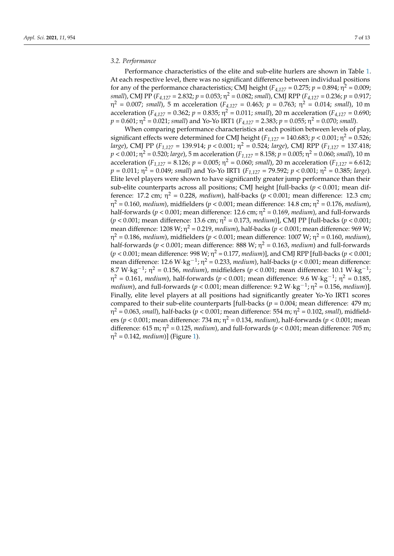#### *3.2. Performance*

Performance characteristics of the elite and sub-elite hurlers are shown in Table [1.](#page-8-0) At each respective level, there was no significant difference between individual positions for any of the performance characteristics; CMJ height ( $F_{4,127}$  = 0.275;  $p$  = 0.894;  $\eta^2$  = 0.009; *small*), CMJ PP (*F4,127* = 2.832; *p* = 0.053; η <sup>2</sup> = 0.082; *small*), CMJ RPP (*F4,127* = 0.236; *p* = 0.917;  $η<sup>2</sup> = 0.007$ ; *small*), 5 m acceleration ( $F<sub>4,127</sub> = 0.463$ ;  $p = 0.763$ ;  $η<sup>2</sup> = 0.014$ ; *small*), 10 m acceleration ( $F_{4,127} = 0.362$ ;  $p = 0.835$ ;  $\eta^2 = 0.011$ ; *small*), 20 m acceleration ( $F_{4,127} = 0.690$ ;  $p = 0.601$ ;  $\eta^2 = 0.021$ ; *small*) and Yo-Yo IRT1 ( $F_{4,127} = 2.383$ ;  $p = 0.055$ ;  $\eta^2 = 0.070$ ; *small*).

When comparing performance characteristics at each position between levels of play, significant effects were determined for CMJ height ( $F_{1,127} = 140.683$ ;  $p < 0.001$ ;  $\eta^2 = 0.526$ ; *large*), CMJ PP (*F1,127* = 139.914; *p* < 0.001; η <sup>2</sup> = 0.524; *large*), CMJ RPP (*F1,127* = 137.418; *p* < 0.001; η <sup>2</sup> = 0.520; *large*), 5 m acceleration (*F1,127* = 8.158; *p* = 0.005; η <sup>2</sup> = 0.060; *small*), 10 m acceleration ( $F_{1,127} = 8.126$ ;  $p = 0.005$ ;  $\eta^2 = 0.060$ ; *small*), 20 m acceleration ( $F_{1,127} = 6.612$ ; *p* = 0.011; η <sup>2</sup> = 0.049; *small*) and Yo-Yo IRT1 (*F1,127* = 79.592; *p* < 0.001; η <sup>2</sup> = 0.385; *large*). Elite level players were shown to have significantly greater jump performance than their sub-elite counterparts across all positions; CMJ height [full-backs (*p* < 0.001; mean difference: 17.2 cm;  $\eta^2$  = 0.228, *medium*), half-backs ( $p < 0.001$ ; mean difference: 12.3 cm; η <sup>2</sup> = 0.160, *medium*), midfielders (*p* < 0.001; mean difference: 14.8 cm; η <sup>2</sup> = 0.176, *medium*), half-forwards (*p* < 0.001; mean difference: 12.6 cm; η <sup>2</sup> = 0.169, *medium*), and full-forwards (*p* < 0.001; mean difference: 13.6 cm; η <sup>2</sup> = 0.173, *medium*)], CMJ PP [full-backs (*p* < 0.001; mean difference: 1208 W;  $\eta^2$  = 0.219*, medium*), half-backs ( $p$  < 0.001; mean difference: 969 W; η <sup>2</sup> = 0.186, *medium*), midfielders (*p* < 0.001; mean difference: 1007 W; η <sup>2</sup> = 0.160, *medium*), half-forwards (*p* < 0.001; mean difference: 888 W; η <sup>2</sup> = 0.163, *medium*) and full-forwards (*p* < 0.001; mean difference: 998 W; η <sup>2</sup> = 0.177, *medium*)], and CMJ RPP [full-backs (*p* < 0.001; mean difference:  $12.6 \text{ W} \cdot \text{kg}^{-1}$ ;  $\eta^2 = 0.233$ , *medium*), half-backs ( $p < 0.001$ ; mean difference: 8.7 W⋅kg<sup>-1</sup>; η<sup>2</sup> = 0.156, *medium*), midfielders (*p* < 0.001; mean difference: 10.1 W⋅kg<sup>-1</sup>; η<sup>2</sup> = 0.161, *medium*), half-forwards (*p* < 0.001; mean difference: 9.6 W·kg<sup>-1</sup>; η<sup>2</sup> = 0.185, *medium*), and full-forwards (*p* < 0.001; mean difference: 9.2 W⋅kg<sup>-1</sup>; η<sup>2</sup> = 0.156, *medium*)]. Finally, elite level players at all positions had significantly greater Yo-Yo IRT1 scores compared to their sub-elite counterparts [full-backs (*p* = 0.004; mean difference: 479 m; η <sup>2</sup> = 0.063, *small*), half-backs (*p* < 0.001; mean difference: 554 m; η <sup>2</sup> = 0.102, *small*), midfielders (*p* < 0.001; mean difference: 734 m; η <sup>2</sup> = 0.134, *medium*), half-forwards (*p* < 0.001; mean difference: 615 m;  $\eta^2$  = 0.125, *medium*), and full-forwards ( $p < 0.001$ ; mean difference: 705 m; η <sup>2</sup> = 0.142, *medium*)] (Figure [1\)](#page-10-0).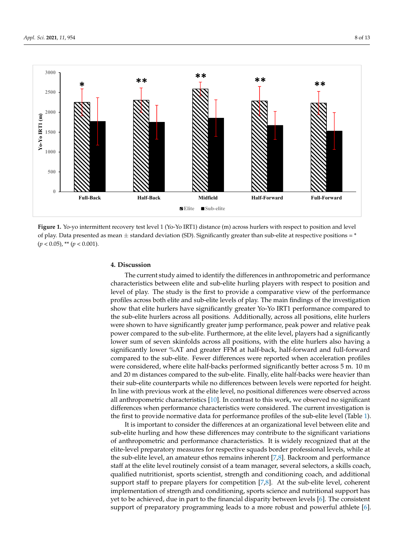<span id="page-10-0"></span>

Figure 1. Yo-yo intermittent recovery test level 1 (Yo-Yo IRT1) distance (m) across hurlers with respect to position and level of play. Data presented as mean  $\pm$  standard deviation (SD). Significantly greater than sub-elite at respective positions =  $*$  $(p < 0.05)$ , \*\*  $(p < 0.001)$ .

#### $T_{\text{S}}$  the differences in anti-field the differences in anti-field  $\epsilon$ **4. Discussion**

The current study aimed to identify the differences in anthropometric and performance characteristics between elite and sub-elite hurling players with respect to position and level of play. The study is the first to provide a comparative view of the performance profiles across both elite and sub-elite levels of play. The main findings of the investigation show that elite hurlers have significantly greater Yo-Yo IRT1 performance compared to the sub-elite hurlers across all positions. Additionally, across all positions, elite hurlers were shown to have significantly greater jump performance, peak power and relative peak power compared to the sub-elite. Furthermore, at the elite level, players had a significantly lower sum of seven skinfolds across all positions, with the elite hurlers also having a significantly lower %AT and greater FFM at half-back, half-forward and full-forward compared to the sub-elite. Fewer differences were reported when acceleration profiles were considered, where elite half-backs performed significantly better across 5 m. 10 m and 20 m distances compared to the sub-elite. Finally, elite half-backs were heavier than their sub-elite counterparts while no differences between levels were reported for height. In line with previous work at the elite level, no positional differences were observed across all anthropometric characteristics [\[10\]](#page-14-9). In contrast to this work, we observed no significant  $\frac{1}{\sqrt{2}}$ differences when performance characteristics were considered. The current investigation is the first to provide normative data for performance profiles of the sub-elite level (Table [1\)](#page-8-0).

It is important to consider the differences at an organizational level between elite and <br>
It is important to consider the differences at an organizational level between elite and sub-elite hurling and how these differences may contribute to the significant variations of the significant variations of the significant variations of the significant variations of the significant variations of the signif of anthropometric and performance characteristics. It is widely recognized that at the elitelevel preparatory measures for respective squads border professional levels, while at the the sub-elite level, an amateur ethos remains inherent [\[7](#page-14-6)[,8\]](#page-14-7). Backroom and performance sub-elite level, an amateur ethos remains inherent [7,8]. Backroom and performance staff at the elite level routinely consist of a team manager, several selectors, a skills coach, at the elite level routinely consist of a team manager, several selectors, a skills coach, qual-qualified nutritionist, sports scientist, strength and conditioning coach, and additional ified nutritionist, sports scientist, strength and conditioning coach, and additional support support staff to prepare players for competition [\[7](#page-14-6)[,8\]](#page-14-7). At the sub-elite level, coherent implementation of strength and conditioning, sports science and nutritional support has tion of strength and conditioning, sports science and nutritional support has yet to be yet to be achieved, due in part to the financial disparity between levels [\[6\]](#page-14-5). The consistent  $\frac{1}{2}$  current of propertions programming levels  $\alpha$ , a more repust and powerful at let  $\alpha$ . support of preparatory programming leads to a more robust and powerful athlete [\[6\]](#page-14-5). elite-level preparatory measures for respective squads border professional levels, while at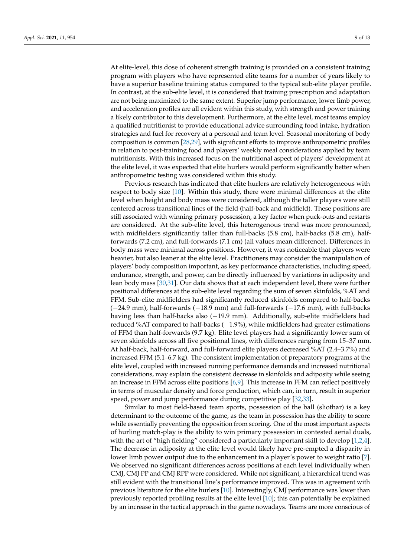At elite-level, this dose of coherent strength training is provided on a consistent training program with players who have represented elite teams for a number of years likely to have a superior baseline training status compared to the typical sub-elite player profile. In contrast, at the sub-elite level, it is considered that training prescription and adaptation are not being maximized to the same extent. Superior jump performance, lower limb power, and acceleration profiles are all evident within this study, with strength and power training a likely contributor to this development. Furthermore, at the elite level, most teams employ a qualified nutritionist to provide educational advice surrounding food intake, hydration strategies and fuel for recovery at a personal and team level. Seasonal monitoring of body composition is common [\[28](#page-15-1)[,29\]](#page-15-2), with significant efforts to improve anthropometric profiles in relation to post-training food and players' weekly meal considerations applied by team nutritionists. With this increased focus on the nutritional aspect of players' development at the elite level, it was expected that elite hurlers would perform significantly better when anthropometric testing was considered within this study.

Previous research has indicated that elite hurlers are relatively heterogeneous with respect to body size [\[10\]](#page-14-9). Within this study, there were minimal differences at the elite level when height and body mass were considered, although the taller players were still centered across transitional lines of the field (half-back and midfield). These positions are still associated with winning primary possession, a key factor when puck-outs and restarts are considered. At the sub-elite level, this heterogenous trend was more pronounced, with midfielders significantly taller than full-backs (5.8 cm), half-backs (5.8 cm), halfforwards (7.2 cm), and full-forwards (7.1 cm) (all values mean difference). Differences in body mass were minimal across positions. However, it was noticeable that players were heavier, but also leaner at the elite level. Practitioners may consider the manipulation of players' body composition important, as key performance characteristics, including speed, endurance, strength, and power, can be directly influenced by variations in adiposity and lean body mass [\[30,](#page-15-3)[31\]](#page-15-4). Our data shows that at each independent level, there were further positional differences at the sub-elite level regarding the sum of seven skinfolds, %AT and FFM. Sub-elite midfielders had significantly reduced skinfolds compared to half-backs (−24.9 mm), half-forwards (−18.9 mm) and full-forwards (−17.6 mm), with full-backs having less than half-backs also (−19.9 mm). Additionally, sub-elite midfielders had reduced %AT compared to half-backs (−1.9%), while midfielders had greater estimations of FFM than half-forwards (9.7 kg). Elite level players had a significantly lower sum of seven skinfolds across all five positional lines, with differences ranging from 15–37 mm. At half-back, half-forward, and full-forward elite players decreased %AT (2.4–3.7%) and increased FFM (5.1–6.7 kg). The consistent implementation of preparatory programs at the elite level, coupled with increased running performance demands and increased nutritional considerations, may explain the consistent decrease in skinfolds and adiposity while seeing an increase in FFM across elite positions [\[6](#page-14-5)[,9\]](#page-14-8). This increase in FFM can reflect positively in terms of muscular density and force production, which can, in turn, result in superior speed, power and jump performance during competitive play [\[32,](#page-15-5)[33\]](#page-15-6).

Similar to most field-based team sports, possession of the ball (sliothar) is a key determinant to the outcome of the game, as the team in possession has the ability to score while essentially preventing the opposition from scoring. One of the most important aspects of hurling match-play is the ability to win primary possession in contested aerial duals, with the art of "high fielding" considered a particularly important skill to develop [\[1,](#page-14-0)[2,](#page-14-1)[4\]](#page-14-3). The decrease in adiposity at the elite level would likely have pre-empted a disparity in lower limb power output due to the enhancement in a player's power to weight ratio [\[7\]](#page-14-6). We observed no significant differences across positions at each level individually when CMJ, CMJ PP and CMJ RPP were considered. While not significant, a hierarchical trend was still evident with the transitional line's performance improved. This was in agreement with previous literature for the elite hurlers [\[10\]](#page-14-9). Interestingly, CMJ performance was lower than previously reported profiling results at the elite level [\[10\]](#page-14-9); this can potentially be explained by an increase in the tactical approach in the game nowadays. Teams are more conscious of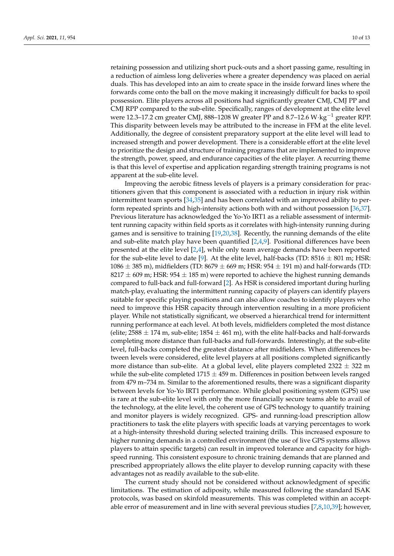retaining possession and utilizing short puck-outs and a short passing game, resulting in a reduction of aimless long deliveries where a greater dependency was placed on aerial duals. This has developed into an aim to create space in the inside forward lines where the forwards come onto the ball on the move making it increasingly difficult for backs to spoil possession. Elite players across all positions had significantly greater CMJ, CMJ PP and CMJ RPP compared to the sub-elite. Specifically, ranges of development at the elite level were 12.3–17.2 cm greater CMJ, 888–1208 W greater PP and 8.7–12.6 W⋅kg<sup>-1</sup> greater RPP. This disparity between levels may be attributed to the increase in FFM at the elite level. Additionally, the degree of consistent preparatory support at the elite level will lead to increased strength and power development. There is a considerable effort at the elite level to prioritize the design and structure of training programs that are implemented to improve the strength, power, speed, and endurance capacities of the elite player. A recurring theme is that this level of expertise and application regarding strength training programs is not apparent at the sub-elite level.

Improving the aerobic fitness levels of players is a primary consideration for practitioners given that this component is associated with a reduction in injury risk within intermittent team sports [\[34,](#page-15-7)[35\]](#page-15-8) and has been correlated with an improved ability to perform repeated sprints and high-intensity actions both with and without possession [\[36](#page-15-9)[,37\]](#page-15-10). Previous literature has acknowledged the Yo-Yo IRT1 as a reliable assessment of intermittent running capacity within field sports as it correlates with high-intensity running during games and is sensitive to training [\[19,](#page-14-18)[20,](#page-14-19)[38\]](#page-15-11). Recently, the running demands of the elite and sub-elite match play have been quantified  $[2,4,9]$  $[2,4,9]$  $[2,4,9]$ . Positional differences have been presented at the elite level [\[2](#page-14-1)[,4\]](#page-14-3), while only team average demands have been reported for the sub-elite level to date [\[9\]](#page-14-8). At the elite level, half-backs (TD:  $8516 \pm 801$  m; HSR:  $1086 \pm 385$  m), midfielders (TD:  $8679 \pm 669$  m; HSR:  $954 \pm 191$  m) and half-forwards (TD:  $8217 \pm 609$  m; HSR:  $954 \pm 185$  m) were reported to achieve the highest running demands compared to full-back and full-forward [\[2\]](#page-14-1). As HSR is considered important during hurling match-play, evaluating the intermittent running capacity of players can identify players suitable for specific playing positions and can also allow coaches to identify players who need to improve this HSR capacity through intervention resulting in a more proficient player. While not statistically significant, we observed a hierarchical trend for intermittent running performance at each level. At both levels, midfielders completed the most distance (elite; 2588  $\pm$  174 m, sub-elite; 1854  $\pm$  461 m), with the elite half-backs and half-forwards completing more distance than full-backs and full-forwards. Interestingly, at the sub-elite level, full-backs completed the greatest distance after midfielders. When differences between levels were considered, elite level players at all positions completed significantly more distance than sub-elite. At a global level, elite players completed  $2322 \pm 322$  m while the sub-elite completed 1715  $\pm$  459 m. Differences in position between levels ranged from 479 m–734 m. Similar to the aforementioned results, there was a significant disparity between levels for Yo-Yo IRT1 performance. While global positioning system (GPS) use is rare at the sub-elite level with only the more financially secure teams able to avail of the technology, at the elite level, the coherent use of GPS technology to quantify training and monitor players is widely recognized. GPS- and running-load prescription allow practitioners to task the elite players with specific loads at varying percentages to work at a high-intensity threshold during selected training drills. This increased exposure to higher running demands in a controlled environment (the use of live GPS systems allows players to attain specific targets) can result in improved tolerance and capacity for highspeed running. This consistent exposure to chronic training demands that are planned and prescribed appropriately allows the elite player to develop running capacity with these advantages not as readily available to the sub-elite.

The current study should not be considered without acknowledgment of specific limitations. The estimation of adiposity, while measured following the standard ISAK protocols, was based on skinfold measurements. This was completed within an acceptable error of measurement and in line with several previous studies [\[7,](#page-14-6)[8,](#page-14-7)[10,](#page-14-9)[39\]](#page-15-12); however,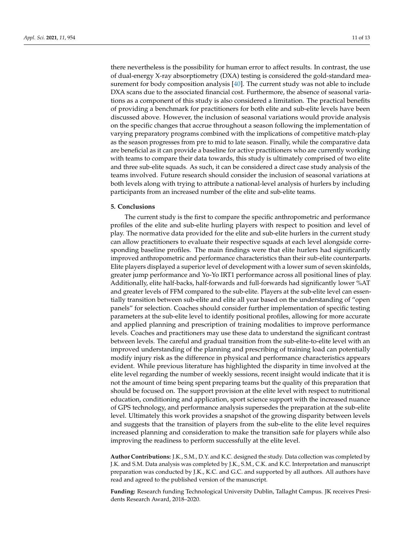there nevertheless is the possibility for human error to affect results. In contrast, the use of dual-energy X-ray absorptiometry (DXA) testing is considered the gold-standard measurement for body composition analysis [\[40\]](#page-15-13). The current study was not able to include DXA scans due to the associated financial cost. Furthermore, the absence of seasonal variations as a component of this study is also considered a limitation. The practical benefits of providing a benchmark for practitioners for both elite and sub-elite levels have been discussed above. However, the inclusion of seasonal variations would provide analysis on the specific changes that accrue throughout a season following the implementation of varying preparatory programs combined with the implications of competitive match-play as the season progresses from pre to mid to late season. Finally, while the comparative data are beneficial as it can provide a baseline for active practitioners who are currently working with teams to compare their data towards, this study is ultimately comprised of two elite and three sub-elite squads. As such, it can be considered a direct case study analysis of the teams involved. Future research should consider the inclusion of seasonal variations at both levels along with trying to attribute a national-level analysis of hurlers by including participants from an increased number of the elite and sub-elite teams.

#### **5. Conclusions**

The current study is the first to compare the specific anthropometric and performance profiles of the elite and sub-elite hurling players with respect to position and level of play. The normative data provided for the elite and sub-elite hurlers in the current study can allow practitioners to evaluate their respective squads at each level alongside corresponding baseline profiles. The main findings were that elite hurlers had significantly improved anthropometric and performance characteristics than their sub-elite counterparts. Elite players displayed a superior level of development with a lower sum of seven skinfolds, greater jump performance and Yo-Yo IRT1 performance across all positional lines of play. Additionally, elite half-backs, half-forwards and full-forwards had significantly lower %AT and greater levels of FFM compared to the sub-elite. Players at the sub-elite level can essentially transition between sub-elite and elite all year based on the understanding of "open panels" for selection. Coaches should consider further implementation of specific testing parameters at the sub-elite level to identify positional profiles, allowing for more accurate and applied planning and prescription of training modalities to improve performance levels. Coaches and practitioners may use these data to understand the significant contrast between levels. The careful and gradual transition from the sub-elite-to-elite level with an improved understanding of the planning and prescribing of training load can potentially modify injury risk as the difference in physical and performance characteristics appears evident. While previous literature has highlighted the disparity in time involved at the elite level regarding the number of weekly sessions, recent insight would indicate that it is not the amount of time being spent preparing teams but the quality of this preparation that should be focused on. The support provision at the elite level with respect to nutritional education, conditioning and application, sport science support with the increased nuance of GPS technology, and performance analysis supersedes the preparation at the sub-elite level. Ultimately this work provides a snapshot of the growing disparity between levels and suggests that the transition of players from the sub-elite to the elite level requires increased planning and consideration to make the transition safe for players while also improving the readiness to perform successfully at the elite level.

**Author Contributions:** J.K., S.M., D.Y. and K.C. designed the study. Data collection was completed by J.K. and S.M. Data analysis was completed by J.K., S.M., C.K. and K.C. Interpretation and manuscript preparation was conducted by J.K., K.C. and G.C. and supported by all authors. All authors have read and agreed to the published version of the manuscript.

**Funding:** Research funding Technological University Dublin, Tallaght Campus. JK receives Presidents Research Award, 2018–2020.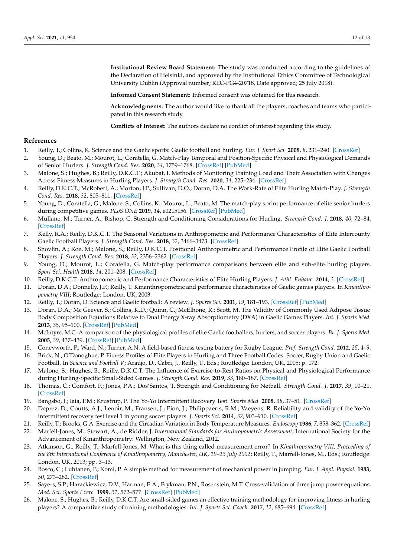**Institutional Review Board Statement:** The study was conducted according to the guidelines of the Declaration of Helsinki, and approved by the Institutional Ethics Committee of Technological University Dublin (Approval number; REC-PG4-20718, Date approved; 25 July 2018).

**Informed Consent Statement:** Informed consent was obtained for this research.

**Acknowledgments:** The author would like to thank all the players, coaches and teams who participated in this research study.

**Conflicts of Interest:** The authors declare no conflict of interest regarding this study.

#### **References**

- <span id="page-14-0"></span>1. Reilly, T.; Collins, K. Science and the Gaelic sports: Gaelic football and hurling. *Eur. J. Sport Sci.* **2008**, *8*, 231–240. [\[CrossRef\]](http://doi.org/10.1080/17461390802251851)
- <span id="page-14-1"></span>2. Young, D.; Beato, M.; Mourot, L.; Coratella, G. Match-Play Temporal and Position-Specific Physical and Physiological Demands of Senior Hurlers. *J. Strength Cond. Res.* **2020**, *34*, 1759–1768. [\[CrossRef\]](http://doi.org/10.1519/JSC.0000000000002844) [\[PubMed\]](http://www.ncbi.nlm.nih.gov/pubmed/30676391)
- <span id="page-14-2"></span>3. Malone, S.; Hughes, B.; Reilly, D.K.C.T.; Akubat, I. Methods of Monitoring Training Load and Their Association with Changes Across Fitness Measures in Hurling Players. *J. Strength Cond. Res.* **2020**, *34*, 225–234. [\[CrossRef\]](http://doi.org/10.1519/JSC.0000000000002655)
- <span id="page-14-3"></span>4. Reilly, D.K.C.T.; McRobert, A.; Morton, J.P.; Sullivan, D.O.; Doran, D.A. The Work-Rate of Elite Hurling Match-Play. *J. Strength Cond. Res.* **2018**, *32*, 805–811. [\[CrossRef\]](http://doi.org/10.1519/jsc.0000000000001822)
- <span id="page-14-4"></span>5. Young, D.; Coratella, G.; Malone, S.; Collins, K.; Mourot, L.; Beato, M. The match-play sprint performance of elite senior hurlers during competitive games. *PLoS ONE* **2019**, *14*, e0215156. [\[CrossRef\]](http://doi.org/10.1371/journal.pone.0215156) [\[PubMed\]](http://www.ncbi.nlm.nih.gov/pubmed/31017921)
- <span id="page-14-5"></span>6. Mullane, M.; Turner, A.; Bishop, C. Strength and Conditioning Considerations for Hurling. *Strength Cond. J.* **2018**, *40*, 72–84. [\[CrossRef\]](http://doi.org/10.1519/SSC.0000000000000381)
- <span id="page-14-6"></span>7. Kelly, R.A.; Reilly, D.K.C.T. The Seasonal Variations in Anthropometric and Performance Characteristics of Elite Intercounty Gaelic Football Players. *J. Strength Cond. Res.* **2018**, *32*, 3466–3473. [\[CrossRef\]](http://doi.org/10.1519/JSC.0000000000001861)
- <span id="page-14-7"></span>8. Shovlin, A.; Roe, M.; Malone, S.; Reilly, D.K.C.T. Positional Anthropometric and Performance Profile of Elite Gaelic Football Players. *J. Strength Cond. Res.* **2018**, *32*, 2356–2362. [\[CrossRef\]](http://doi.org/10.1519/JSC.0000000000002071)
- <span id="page-14-8"></span>9. Young, D.; Mourot, L.; Coratella, G. Match-play performance comparisons between elite and sub-elite hurling players. *Sport Sci. Health* **2018**, *14*, 201–208. [\[CrossRef\]](http://doi.org/10.1007/s11332-018-0441-6)
- <span id="page-14-9"></span>10. Reilly, D.K.C.T. Anthropometric and Performance Characteristics of Elite Hurling Players. *J. Athl. Enhanc.* **2014**, *3*. [\[CrossRef\]](http://doi.org/10.4172/2324-9080.1000176)
- <span id="page-14-10"></span>11. Doran, D.A.; Donnelly, J.P.; Reilly, T. Kinanthropometric and performance characteristics of Gaelic games players. In *Kinanthropometry VIII*; Routledge: London, UK, 2003.
- <span id="page-14-11"></span>12. Reilly, T.; Doran, D. Science and Gaelic football: A review. *J. Sports Sci.* **2001**, *19*, 181–193. [\[CrossRef\]](http://doi.org/10.1080/026404101750095330) [\[PubMed\]](http://www.ncbi.nlm.nih.gov/pubmed/11256823)
- <span id="page-14-12"></span>13. Doran, D.A.; Mc Geever, S.; Collins, K.D.; Quinn, C.; McElhone, R.; Scott, M. The Validity of Commonly Used Adipose Tissue Body Composition Equations Relative to Dual Energy X-ray Absorptiometry (DXA) in Gaelic Games Players. *Int. J. Sports Med.* **2013**, *35*, 95–100. [\[CrossRef\]](http://doi.org/10.1055/s-0033-1333693) [\[PubMed\]](http://www.ncbi.nlm.nih.gov/pubmed/23900901)
- <span id="page-14-13"></span>14. McIntyre, M.C. A comparison of the physiological profiles of elite Gaelic footballers, hurlers, and soccer players. *Br. J. Sports Med.* **2005**, *39*, 437–439. [\[CrossRef\]](http://doi.org/10.1136/bjsm.2004.013631) [\[PubMed\]](http://www.ncbi.nlm.nih.gov/pubmed/15976166)
- <span id="page-14-14"></span>15. Coneyworth, P.; Ward, N.; Turner, A.N. A field-based fitness testing battery for Rugby League. *Prof. Strength Cond.* **2012**, *25*, 4–9.
- <span id="page-14-15"></span>16. Brick, N.; O'Donoghue, P. Fitness Profiles of Elite Players in Hurling and Three Football Codes: Soccer, Rugby Union and Gaelic Football. In *Science and Football V*; Araújo, D., Cabri, J., Reilly, T., Eds.; Routledge: London, UK, 2005; p. 172.
- <span id="page-14-16"></span>17. Malone, S.; Hughes, B.; Reilly, D.K.C.T. The Influence of Exercise-to-Rest Ratios on Physical and Physiological Performance during Hurling-Specific Small-Sided Games. *J. Strength Cond. Res.* **2019**, *33*, 180–187. [\[CrossRef\]](http://doi.org/10.1519/JSC.0000000000001887)
- <span id="page-14-17"></span>18. Thomas, C.; Comfort, P.; Jones, P.A.; Dos'Santos, T. Strength and Conditioning for Netball. *Strength Cond. J.* **2017**, *39*, 10–21. [\[CrossRef\]](http://doi.org/10.1519/SSC.0000000000000287)
- <span id="page-14-18"></span>19. Bangsbo, J.; Iaia, F.M.; Krustrup, P. The Yo-Yo Intermittent Recovery Test. *Sports Med.* **2008**, *38*, 37–51. [\[CrossRef\]](http://doi.org/10.2165/00007256-200838010-00004)
- <span id="page-14-19"></span>20. Deprez, D.; Coutts, A.J.; Lenoir, M.; Fransen, J.; Pion, J.; Philippaerts, R.M.; Vaeyens, R. Reliability and validity of the Yo-Yo intermittent recovery test level 1 in young soccer players. *J. Sports Sci.* **2014**, *32*, 903–910. [\[CrossRef\]](http://doi.org/10.1080/02640414.2013.876088)
- <span id="page-14-20"></span>21. Reilly, T.; Brooks, G.A. Exercise and the Circadian Variation in Body Temperature Measures. *Endoscopy* **1986**, *7*, 358–362. [\[CrossRef\]](http://doi.org/10.1055/s-2008-1025792)
- <span id="page-14-21"></span>22. Marfell-Jones, M.; Stewart, A.; de Ridder, J. *International Standards for Anthropometric Assessment*; International Society for the Advancement of Kinanthropometry: Wellington, New Zealand, 2012.
- <span id="page-14-22"></span>23. Atkinson, G.; Reilly, T.; Marfell-Jones, M. What is this thing called measurement error? In *Kinathropometry VIII, Proceeding of the 8th International Conference of Kinathropometry, Manchester, UK, 19–23 July 2002*; Reilly, T., Marfell-Jones, M., Eds.; Routledge: London, UK, 2013; pp. 3–13.
- <span id="page-14-23"></span>24. Bosco, C.; Luhtanen, P.; Komi, P. A simple method for measurement of mechanical power in jumping. *Eur. J. Appl. Physiol.* **1983**, *50*, 273–282. [\[CrossRef\]](http://doi.org/10.1007/BF00422166)
- <span id="page-14-24"></span>25. Sayers, S.P.; Harackiewicz, D.V.; Harman, E.A.; Frykman, P.N.; Rosenstein, M.T. Cross-validation of three jump power equations. *Med. Sci. Sports Exerc.* **1999**, *31*, 572–577. [\[CrossRef\]](http://doi.org/10.1097/00005768-199904000-00013) [\[PubMed\]](http://www.ncbi.nlm.nih.gov/pubmed/10211854)
- <span id="page-14-25"></span>26. Malone, S.; Hughes, B.; Reilly, D.K.C.T. Are small-sided games an effective training methodology for improving fitness in hurling players? A comparative study of training methodologies. *Int. J. Sports Sci. Coach.* **2017**, *12*, 685–694. [\[CrossRef\]](http://doi.org/10.1177/1747954117727887)